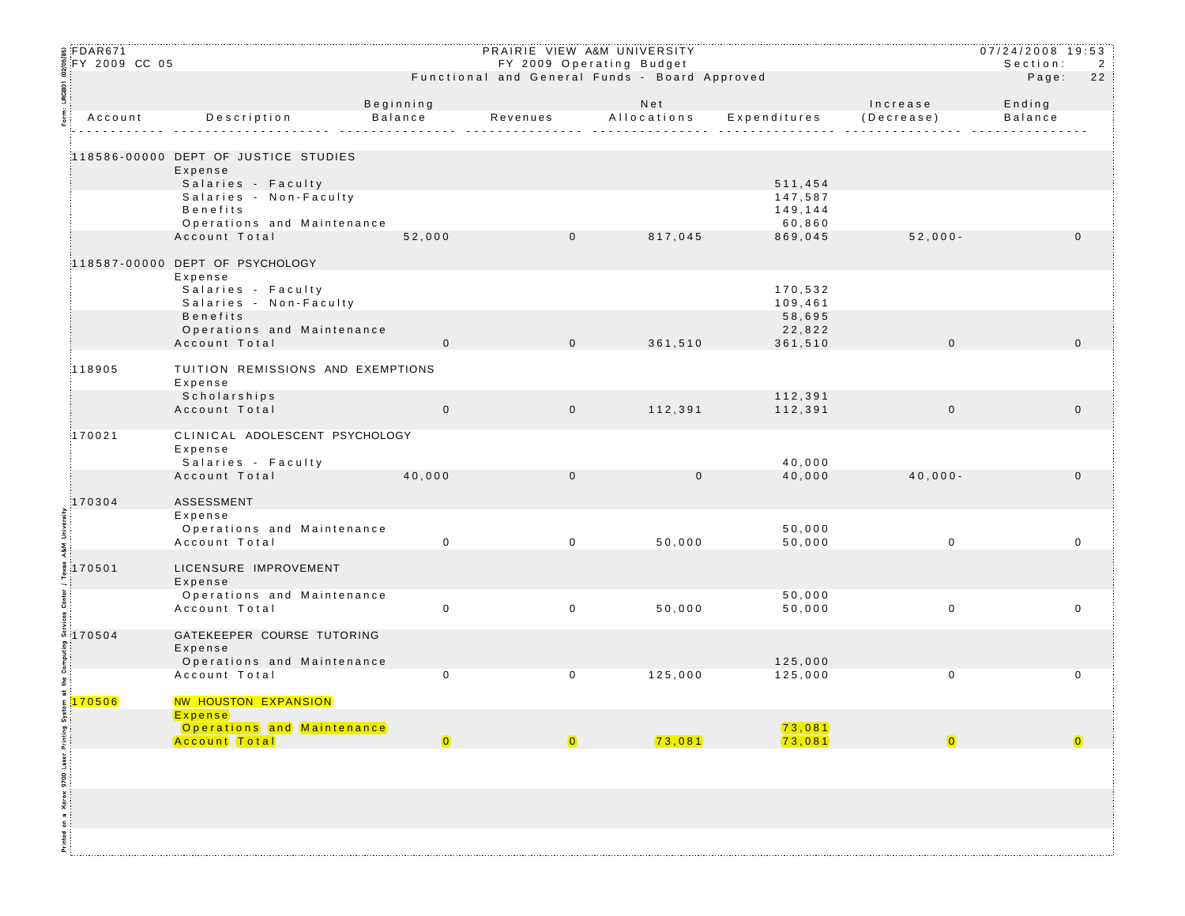|                                            | ន្តFDAR671<br>క్FY 2009 CC 05 |                                                                       |                                                                           | PRAIRIE VIEW A&M UNIVERSITY |             |                     |             | $07/24/2008$ 19:53<br>Section: | $\overline{2}$ |
|--------------------------------------------|-------------------------------|-----------------------------------------------------------------------|---------------------------------------------------------------------------|-----------------------------|-------------|---------------------|-------------|--------------------------------|----------------|
|                                            |                               |                                                                       | FY 2009 Operating Budget<br>Functional and General Funds - Board Approved |                             |             |                     |             | Page:                          | 22             |
| URGBO1                                     |                               |                                                                       | Beginning                                                                 |                             | Net         |                     | Increase    | Ending                         |                |
|                                            | Account                       | Description                                                           | Balance                                                                   | Revenues                    | Allocations | Expenditures        | (Decrease)  | <b>Balance</b>                 |                |
|                                            |                               |                                                                       |                                                                           |                             |             |                     |             |                                |                |
|                                            |                               | 118586-00000 DEPT OF JUSTICE STUDIES<br>Expense<br>Salaries - Faculty |                                                                           |                             |             | 511,454             |             |                                |                |
|                                            |                               | Salaries - Non-Faculty                                                |                                                                           |                             |             | 147,587             |             |                                |                |
|                                            |                               | <b>Benefits</b><br>Operations and Maintenance                         |                                                                           |                             |             | 149,144<br>60,860   |             |                                |                |
|                                            |                               | Account Total                                                         | 52,000                                                                    | $\mathbf 0$                 | 817,045     | 869,045             | $52,000 -$  |                                | $\mathbf 0$    |
|                                            |                               | 118587-00000 DEPT OF PSYCHOLOGY                                       |                                                                           |                             |             |                     |             |                                |                |
|                                            |                               | Expense                                                               |                                                                           |                             |             |                     |             |                                |                |
|                                            |                               | Salaries - Faculty                                                    |                                                                           |                             |             | 170,532             |             |                                |                |
|                                            |                               | Salaries - Non-Faculty<br><b>Benefits</b>                             |                                                                           |                             |             | 109,461<br>58,695   |             |                                |                |
|                                            |                               | Operations and Maintenance                                            |                                                                           |                             |             | 22,822              |             |                                |                |
|                                            |                               | Account Total                                                         | $\mathsf 0$                                                               | $\mathbf 0$                 | 361,510     | 361,510             | $\mathbf 0$ |                                | $\mathbf{0}$   |
|                                            | 118905                        | TUITION REMISSIONS AND EXEMPTIONS<br>Expense                          |                                                                           |                             |             |                     |             |                                |                |
|                                            |                               | Scholarships<br>Account Total                                         | $\mathbf 0$                                                               | $\overline{0}$              | 112,391     | 112,391<br>112,391  | $\mathbf 0$ |                                | $\mathbf 0$    |
|                                            |                               |                                                                       |                                                                           |                             |             |                     |             |                                |                |
|                                            | 170021                        | CLINICAL ADOLESCENT PSYCHOLOGY<br>Expense<br>Salaries - Faculty       |                                                                           |                             |             | 40,000              |             |                                |                |
|                                            |                               | Account Total                                                         | 40,000                                                                    | $\mathbf 0$                 | $\mathbf 0$ | 40,000              | $40,000 -$  |                                | $\mathbf 0$    |
|                                            | 170304                        | ASSESSMENT                                                            |                                                                           |                             |             |                     |             |                                |                |
|                                            |                               | Expense                                                               |                                                                           |                             |             |                     |             |                                |                |
|                                            |                               | Operations and Maintenance<br>Account Total                           | $\mathbf 0$                                                               | $\mathsf{O}$                | 50,000      | 50,000<br>50,000    | $\mathbf 0$ |                                | $\mathbf 0$    |
|                                            |                               |                                                                       |                                                                           |                             |             |                     |             |                                |                |
|                                            | $\frac{3}{2}$ 170501          | LICENSURE IMPROVEMENT<br>Expense                                      |                                                                           |                             |             |                     |             |                                |                |
|                                            |                               | Operations and Maintenance                                            |                                                                           |                             |             | 50,000              |             |                                |                |
|                                            |                               | Account Total                                                         | $\mathbf 0$                                                               | $\mathbf 0$                 | 50,000      | 50,000              | $\mathbf 0$ |                                | $\mathbf 0$    |
|                                            | នី 170504                     | GATEKEEPER COURSE TUTORING                                            |                                                                           |                             |             |                     |             |                                |                |
|                                            |                               | Expense<br>Operations and Maintenance                                 |                                                                           |                             |             | 125,000             |             |                                |                |
| the Computi                                |                               | Account Total                                                         | 0                                                                         | 0                           | 125,000     | 125,000             | $\mathbf 0$ |                                | $\mathbf 0$    |
| ま.                                         | 5170506                       | NW HOUSTON EXPANSION                                                  |                                                                           |                             |             |                     |             |                                |                |
|                                            |                               | Expense                                                               |                                                                           |                             |             |                     |             |                                |                |
|                                            |                               | Operations and Maintenance                                            | $\bullet$                                                                 | $\bullet$                   |             | (73, 081)<br>73,081 | $\bullet$   |                                | $\bullet$      |
|                                            |                               | Account Total                                                         |                                                                           |                             | 73,081      |                     |             |                                |                |
| Printed on a Xerox 9700 Laser Printing Sys |                               |                                                                       |                                                                           |                             |             |                     |             |                                |                |
|                                            |                               |                                                                       |                                                                           |                             |             |                     |             |                                |                |
|                                            |                               |                                                                       |                                                                           |                             |             |                     |             |                                |                |
|                                            |                               |                                                                       |                                                                           |                             |             |                     |             |                                |                |
|                                            |                               |                                                                       |                                                                           |                             |             |                     |             |                                |                |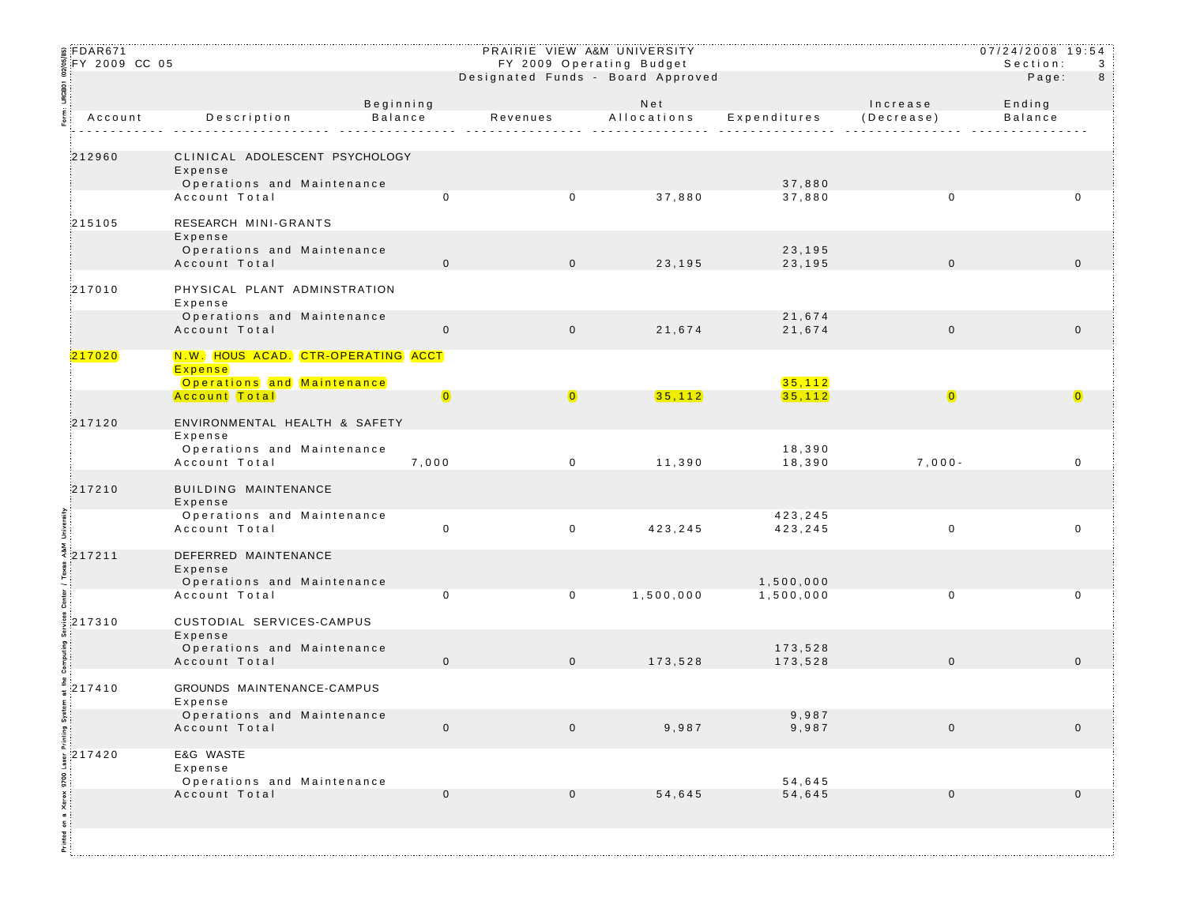| ន្តFDAR671<br>$\frac{3}{2}$ FY 2009 CC 05 |                      |                                                                                                     |                             | PRAIRIE VIEW A&M UNIVERSITY<br>FY 2009 Operating Budget<br>Designated Funds - Board Approved |                    | 07/24/2008 19:54<br>Section: | 3<br>8                 |                          |  |
|-------------------------------------------|----------------------|-----------------------------------------------------------------------------------------------------|-----------------------------|----------------------------------------------------------------------------------------------|--------------------|------------------------------|------------------------|--------------------------|--|
| URGBO1                                    |                      |                                                                                                     |                             |                                                                                              |                    |                              |                        | Page:                    |  |
| Form:<br>$\overline{\phantom{a}}$         | Account              | Description                                                                                         | Beginning<br><b>Balance</b> | Revenues                                                                                     | Net<br>Allocations | Expenditures                 | Increase<br>(Decrease) | Ending<br><b>Balance</b> |  |
|                                           | 212960               | CLINICAL ADOLESCENT PSYCHOLOGY<br>Expense<br>Operations and Maintenance                             |                             |                                                                                              |                    | 37,880                       |                        |                          |  |
|                                           |                      | Account Total                                                                                       | $\mathbf 0$                 | $\mathbf 0$                                                                                  | 37,880             | 37,880                       | $\mathbf 0$            | $\mathbf 0$              |  |
|                                           | 215105               | RESEARCH MINI-GRANTS<br>Expense<br>Operations and Maintenance<br>Account Total                      | $\mathbf 0$                 | $\mathbf 0$                                                                                  | 23,195             | 23,195<br>23,195             | $\mathbf 0$            | $\mathbf{0}$             |  |
|                                           | 217010               | PHYSICAL PLANT ADMINSTRATION<br>Expense                                                             |                             |                                                                                              |                    |                              |                        |                          |  |
|                                           |                      | Operations and Maintenance<br>Account Total                                                         | $\mathbf 0$                 | $\mathbf 0$                                                                                  | 21,674             | 21,674<br>21,674             | $\mathbf 0$            | $\mathbf 0$              |  |
|                                           | 217020               | N.W. HOUS ACAD. CTR-OPERATING ACCT<br>Expense<br>Operations and Maintenance<br><b>Account Total</b> | $\overline{\mathbf{0}}$     | $\overline{0}$                                                                               | 35,112             | 35,112<br>35,112             | $\overline{0}$         | $\overline{0}$           |  |
|                                           | 217120               | ENVIRONMENTAL HEALTH & SAFETY                                                                       |                             |                                                                                              |                    |                              |                        |                          |  |
|                                           |                      | Expense<br>Operations and Maintenance<br>Account Total                                              | 7,000                       | $\mathbf 0$                                                                                  | 11,390             | 18,390<br>18,390             | $7,000-$               | 0                        |  |
|                                           | 217210               | BUILDING MAINTENANCE<br>Expense                                                                     |                             |                                                                                              |                    |                              |                        |                          |  |
| University                                |                      | Operations and Maintenance<br>Account Total                                                         | $\mathbf 0$                 | $\mathbf 0$                                                                                  | 423,245            | 423,245<br>423,245           | $\mathbf 0$            | $\mathbf 0$              |  |
|                                           | 4217211              | DEFERRED MAINTENANCE<br>Expense<br>Operations and Maintenance                                       |                             |                                                                                              |                    | 1,500,000                    |                        |                          |  |
|                                           |                      | Account Total                                                                                       | 0                           | $\mathbf 0$                                                                                  | 1,500,000          | 1,500,000                    | $\mathbf 0$            | 0                        |  |
|                                           | \$217310             | CUSTODIAL SERVICES-CAMPUS<br>Expense<br>Operations and Maintenance<br>Account Total                 | $\mathbf 0$                 | $\overline{0}$                                                                               | 173,528            | 173,528<br>173,528           | $\mathbf 0$            | $\mathbf 0$              |  |
| tem<br>:                                  | $\frac{2}{8}$ 217410 | GROUNDS MAINTENANCE-CAMPUS<br>Expense                                                               |                             |                                                                                              |                    |                              |                        |                          |  |
|                                           |                      | Operations and Maintenance<br>Account Total                                                         | $\mathbf 0$                 | $\mathbf 0$                                                                                  | 9,987              | 9,987<br>9,987               | $\mathbf 0$            | $\mathbf 0$              |  |
|                                           | $\frac{1}{2}$ 217420 | E&G WASTE<br>Expense<br>Operations and Maintenance                                                  |                             |                                                                                              |                    | 54,645                       |                        |                          |  |
| Printed on a Xerox 9700 La                |                      | Account Total                                                                                       | $\mathbf 0$                 | $\mathbf{0}$                                                                                 | 54,645             | 54,645                       | $\mathbf 0$            | $\mathbf 0$              |  |
|                                           |                      |                                                                                                     |                             |                                                                                              |                    |                              |                        |                          |  |